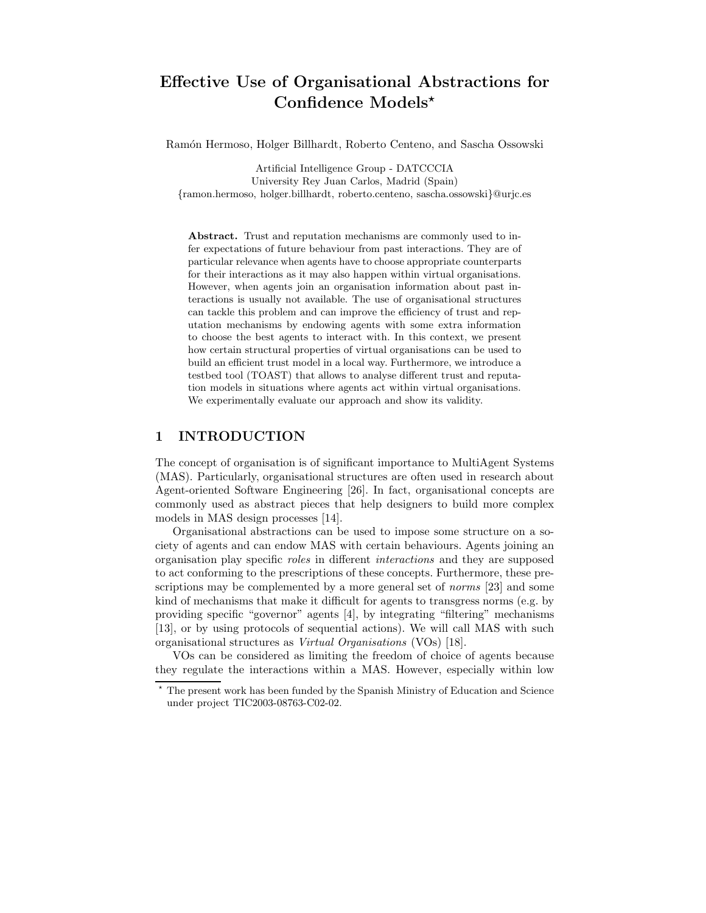# **Effective Use of Organisational Abstractions for Confidence Models***-*

Ramón Hermoso, Holger Billhardt, Roberto Centeno, and Sascha Ossowski

Artificial Intelligence Group - DATCCCIA University Rey Juan Carlos, Madrid (Spain) {ramon.hermoso, holger.billhardt, roberto.centeno, sascha.ossowski}@urjc.es

**Abstract.** Trust and reputation mechanisms are commonly used to infer expectations of future behaviour from past interactions. They are of particular relevance when agents have to choose appropriate counterparts for their interactions as it may also happen within virtual organisations. However, when agents join an organisation information about past interactions is usually not available. The use of organisational structures can tackle this problem and can improve the efficiency of trust and reputation mechanisms by endowing agents with some extra information to choose the best agents to interact with. In this context, we present how certain structural properties of virtual organisations can be used to build an efficient trust model in a local way. Furthermore, we introduce a testbed tool (TOAST) that allows to analyse different trust and reputation models in situations where agents act within virtual organisations. We experimentally evaluate our approach and show its validity.

### **1 INTRODUCTION**

The concept of organisation is of significant importance to MultiAgent Systems (MAS). Particularly, organisational structures are often used in research about Agent-oriented Software Engineering [26]. In fact, organisational concepts are commonly used as abstract pieces that help designers to build more complex models in MAS design processes [14].

Organisational abstractions can be used to impose some structure on a society of agents and can endow MAS with certain behaviours. Agents joining an organisation play specific *roles* in different *interactions* and they are supposed to act conforming to the prescriptions of these concepts. Furthermore, these prescriptions may be complemented by a more general set of *norms* [23] and some kind of mechanisms that make it difficult for agents to transgress norms (e.g. by providing specific "governor" agents [4], by integrating "filtering" mechanisms [13], or by using protocols of sequential actions). We will call MAS with such organisational structures as *Virtual Organisations* (VOs) [18].

VOs can be considered as limiting the freedom of choice of agents because they regulate the interactions within a MAS. However, especially within low

 $\star$  The present work has been funded by the Spanish Ministry of Education and Science under project TIC2003-08763-C02-02.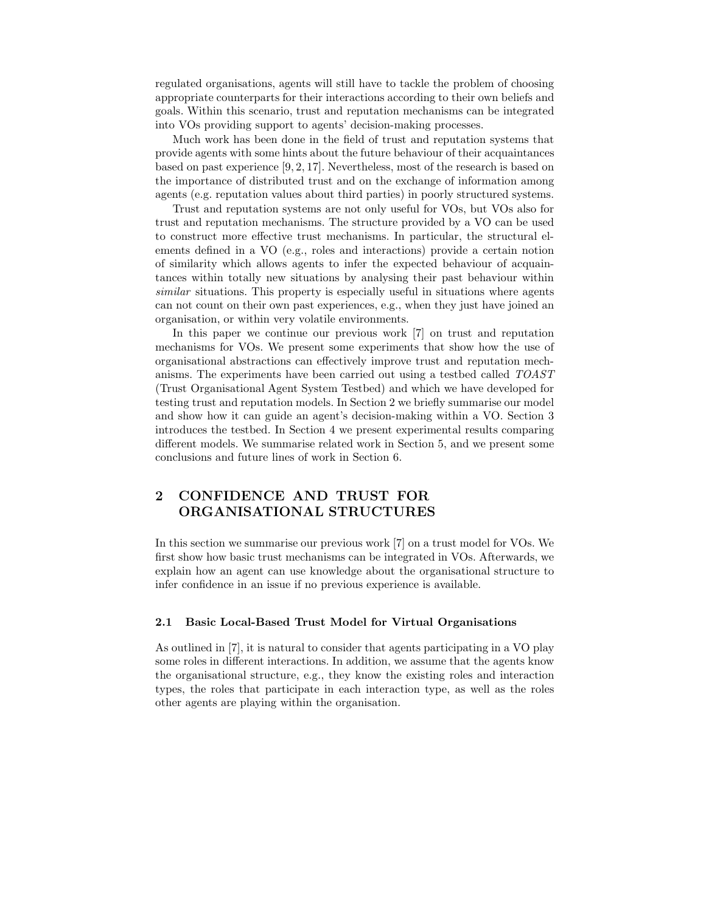regulated organisations, agents will still have to tackle the problem of choosing appropriate counterparts for their interactions according to their own beliefs and goals. Within this scenario, trust and reputation mechanisms can be integrated into VOs providing support to agents' decision-making processes.

Much work has been done in the field of trust and reputation systems that provide agents with some hints about the future behaviour of their acquaintances based on past experience [9, 2, 17]. Nevertheless, most of the research is based on the importance of distributed trust and on the exchange of information among agents (e.g. reputation values about third parties) in poorly structured systems.

Trust and reputation systems are not only useful for VOs, but VOs also for trust and reputation mechanisms. The structure provided by a VO can be used to construct more effective trust mechanisms. In particular, the structural elements defined in a VO (e.g., roles and interactions) provide a certain notion of similarity which allows agents to infer the expected behaviour of acquaintances within totally new situations by analysing their past behaviour within *similar* situations. This property is especially useful in situations where agents can not count on their own past experiences, e.g., when they just have joined an organisation, or within very volatile environments.

In this paper we continue our previous work [7] on trust and reputation mechanisms for VOs. We present some experiments that show how the use of organisational abstractions can effectively improve trust and reputation mechanisms. The experiments have been carried out using a testbed called *TOAST* (Trust Organisational Agent System Testbed) and which we have developed for testing trust and reputation models. In Section 2 we briefly summarise our model and show how it can guide an agent's decision-making within a VO. Section 3 introduces the testbed. In Section 4 we present experimental results comparing different models. We summarise related work in Section 5, and we present some conclusions and future lines of work in Section 6.

## **2 CONFIDENCE AND TRUST FOR ORGANISATIONAL STRUCTURES**

In this section we summarise our previous work [7] on a trust model for VOs. We first show how basic trust mechanisms can be integrated in VOs. Afterwards, we explain how an agent can use knowledge about the organisational structure to infer confidence in an issue if no previous experience is available.

### **2.1 Basic Local-Based Trust Model for Virtual Organisations**

As outlined in [7], it is natural to consider that agents participating in a VO play some roles in different interactions. In addition, we assume that the agents know the organisational structure, e.g., they know the existing roles and interaction types, the roles that participate in each interaction type, as well as the roles other agents are playing within the organisation.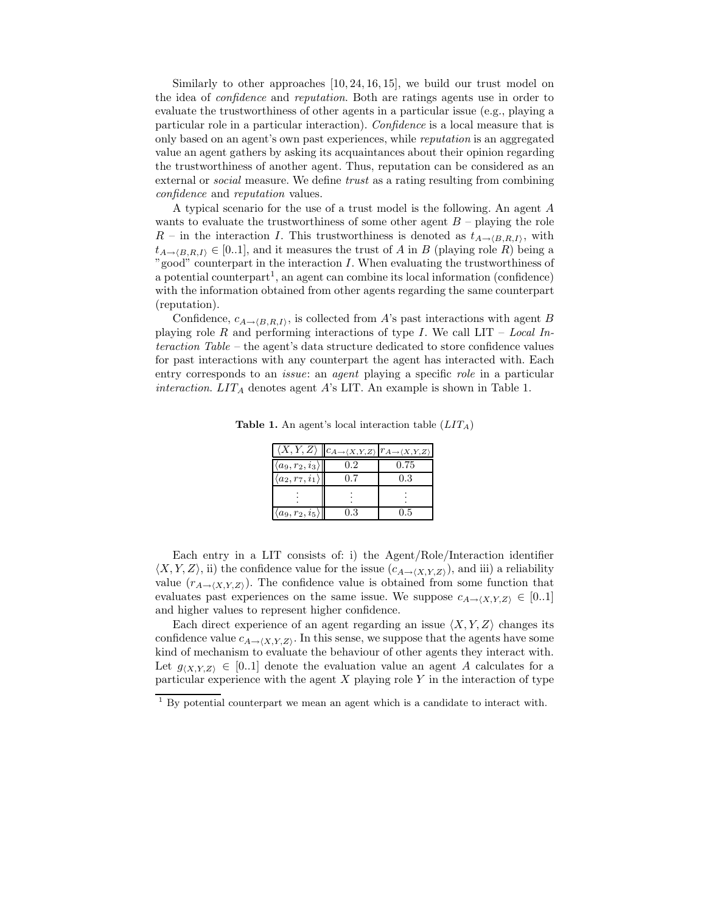Similarly to other approaches  $[10, 24, 16, 15]$ , we build our trust model on the idea of *confidence* and *reputation*. Both are ratings agents use in order to evaluate the trustworthiness of other agents in a particular issue (e.g., playing a particular role in a particular interaction). *Confidence* is a local measure that is only based on an agent's own past experiences, while *reputation* is an aggregated value an agent gathers by asking its acquaintances about their opinion regarding the trustworthiness of another agent. Thus, reputation can be considered as an external or *social* measure. We define *trust* as a rating resulting from combining *confidence* and *reputation* values.

A typical scenario for the use of a trust model is the following. An agent A wants to evaluate the trustworthiness of some other agent  $B$  – playing the role R – in the interaction I. This trustworthiness is denoted as  $t_{A\rightarrow \langle B,R,I \rangle}$ , with  $t_{A\to(B,R,I)} \in [0..1]$ , and it measures the trust of A in B (playing role R) being a "good" counterpart in the interaction  $I$ . When evaluating the trustworthiness of a potential counterpart<sup>1</sup>, an agent can combine its local information (confidence) with the information obtained from other agents regarding the same counterpart (reputation).

Confidence,  $c_{A\rightarrow \langle B,R,I \rangle}$ , is collected from A's past interactions with agent B playing role R and performing interactions of type I. We call LIT – *Local Interaction Table* – the agent's data structure dedicated to store confidence values for past interactions with any counterpart the agent has interacted with. Each entry corresponds to an *issue*: an *agent* playing a specific *role* in a particular *interaction.*  $LIT_A$  denotes agent A's LIT. An example is shown in Table 1.

**Table 1.** An agent's local interaction table  $(LIT_A)$ 

|                                 | $\langle \overline{X}, \overline{Y}, Z \rangle$ $  c_{A \to \langle X, Y, Z \rangle}   r_{A \to \langle X, Y, Z \rangle}  $ |      |
|---------------------------------|-----------------------------------------------------------------------------------------------------------------------------|------|
| $\langle a_9,r_2,i_3\rangle  $  | 0.2                                                                                                                         | 0.75 |
| $\langle a_2, r_7, i_1 \rangle$ | 0.7                                                                                                                         | 0.3  |
|                                 |                                                                                                                             |      |
| $\langle a_9,r_2,i_5\rangle$    | $\rm 0.3$                                                                                                                   | 0.5  |

Each entry in a LIT consists of: i) the Agent/Role/Interaction identifier  $\langle X, Y, Z \rangle$ , ii) the confidence value for the issue  $(c_{A\rightarrow \langle X, Y, Z \rangle})$ , and iii) a reliability value  $(r_{A\rightarrow\langle X,Y,Z\rangle})$ . The confidence value is obtained from some function that evaluates past experiences on the same issue. We suppose  $c_{A\to\langle X,Y,Z\rangle} \in [0..1]$ and higher values to represent higher confidence.

Each direct experience of an agent regarding an issue  $\langle X, Y, Z \rangle$  changes its confidence value  $c_{A\to\langle X,Y,Z\rangle}$ . In this sense, we suppose that the agents have some kind of mechanism to evaluate the behaviour of other agents they interact with. Let  $g_{\langle X,Y,Z \rangle} \in [0,1]$  denote the evaluation value an agent A calculates for a particular experience with the agent  $X$  playing role  $Y$  in the interaction of type

 $1$  By potential counterpart we mean an agent which is a candidate to interact with.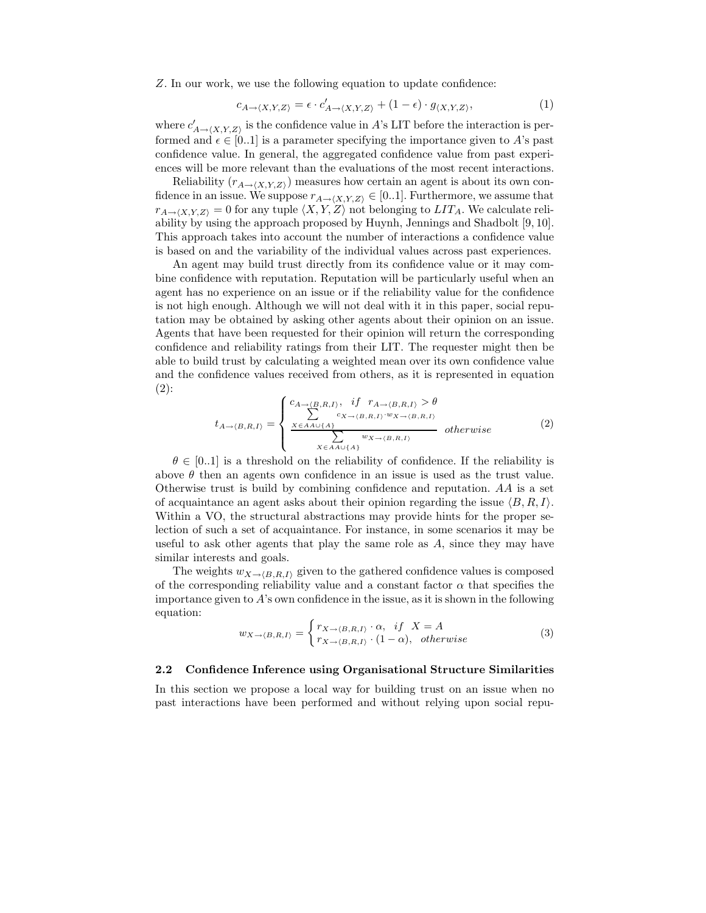Z. In our work, we use the following equation to update confidence:

$$
c_{A \to \langle X, Y, Z \rangle} = \epsilon \cdot c'_{A \to \langle X, Y, Z \rangle} + (1 - \epsilon) \cdot g_{\langle X, Y, Z \rangle},\tag{1}
$$

where  $c'_{A\to \langle X,Y,Z\rangle}$  is the confidence value in A's LIT before the interaction is per-<br>formed and  $\epsilon \in [0, 1]$  is a parameter grasifying the importance given to A's part formed and  $\epsilon \in [0..1]$  is a parameter specifying the importance given to A's past<br>confidence value. In general, the aggregated confidence value from past expericonfidence value. In general, the aggregated confidence value from past experiences will be more relevant than the evaluations of the most recent interactions.

Reliability  $(r_{A\rightarrow (X,Y,Z)})$  measures how certain an agent is about its own confidence in an issue. We suppose  $r_{A\to\langle X,Y,Z\rangle} \in [0..1]$ . Furthermore, we assume that  $r_{A\rightarrow\langle X,Y,Z\rangle}=0$  for any tuple  $\langle X,Y,Z\rangle$  not belonging to  $LIT_A$ . We calculate reliability by using the approach proposed by Huynh, Jennings and Shadbolt [9, 10]. This approach takes into account the number of interactions a confidence value is based on and the variability of the individual values across past experiences.

An agent may build trust directly from its confidence value or it may combine confidence with reputation. Reputation will be particularly useful when an agent has no experience on an issue or if the reliability value for the confidence is not high enough. Although we will not deal with it in this paper, social reputation may be obtained by asking other agents about their opinion on an issue. Agents that have been requested for their opinion will return the corresponding confidence and reliability ratings from their LIT. The requester might then be able to build trust by calculating a weighted mean over its own confidence value and the confidence values received from others, as it is represented in equation  $(2)$ :

$$
t_{A \to \langle B,R,I \rangle} = \begin{cases} c_{A \to \langle B,R,I \rangle}, & if \ r_{A \to \langle B,R,I \rangle} > \theta \\ \sum_{x \in AA \cup \{A\}} c_{x \to \langle B,R,I \rangle} \cdot w_{x \to \langle B,R,I \rangle} \\ \sum_{x \in AA \cup \{A\}} w_{x \to \langle B,R,I \rangle} & otherwise \end{cases}
$$
 (2)

 $\theta \in [0..1]$  is a threshold on the reliability of confidence. If the reliability is above  $\theta$  then an agents own confidence in an issue is used as the trust value. Otherwise trust is build by combining confidence and reputation. AA is a set of acquaintance an agent asks about their opinion regarding the issue  $\langle B, R, I \rangle$ . Within a VO, the structural abstractions may provide hints for the proper selection of such a set of acquaintance. For instance, in some scenarios it may be useful to ask other agents that play the same role as  $A$ , since they may have similar interests and goals.

The weights  $w_{X\to(B,R,I)}$  given to the gathered confidence values is composed of the corresponding reliability value and a constant factor  $\alpha$  that specifies the importance given to A's own confidence in the issue, as it is shown in the following equation:

$$
w_{X \to \langle B,R,I \rangle} = \begin{cases} r_{X \to \langle B,R,I \rangle} \cdot \alpha, & \text{if } X = A \\ r_{X \to \langle B,R,I \rangle} \cdot (1 - \alpha), & \text{otherwise} \end{cases}
$$
(3)

#### **2.2 Confidence Inference using Organisational Structure Similarities**

In this section we propose a local way for building trust on an issue when no past interactions have been performed and without relying upon social repu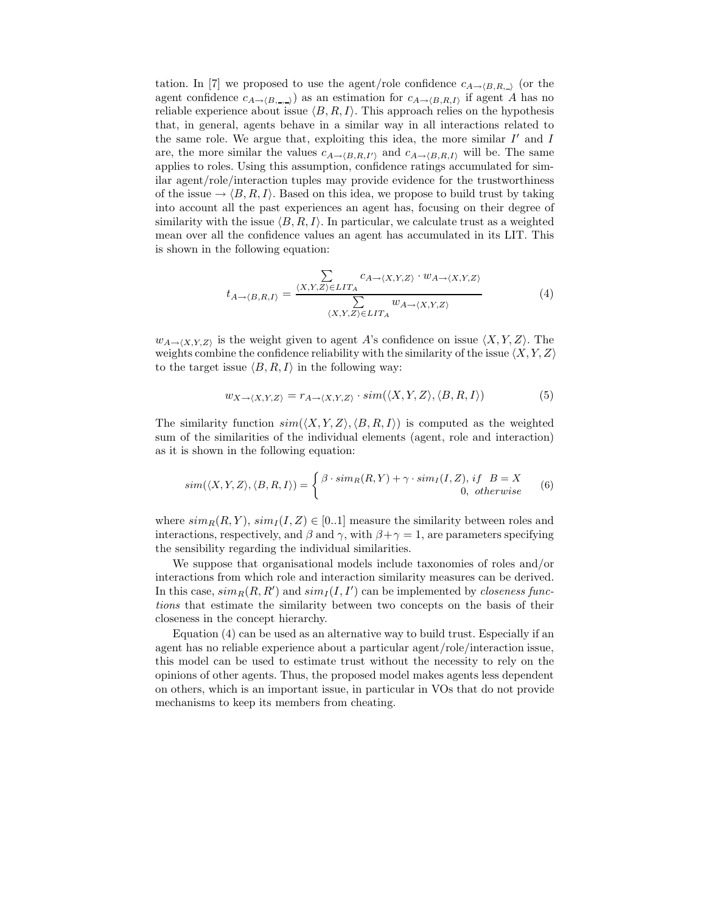tation. In [7] we proposed to use the agent/role confidence  $c_{A\to(B,R,\perp)}$  (or the agent confidence  $c_{A\to(B,\_\_\})$  as an estimation for  $c_{A\to(B,R,I)}$  if agent A has no reliable experience about issue  $\langle B, R, I \rangle$ . This approach relies on the hypothesis that, in general, agents behave in a similar way in all interactions related to the same role. We argue that, exploiting this idea, the more similar  $I'$  and  $I$ are, the more similar the values  $c_{A\to(B,R,I')}$  and  $c_{A\to(B,R,I')}$  will be. The same applies to roles. Using this assumption, confidence ratings accumulated for similar agent/role/interaction tuples may provide evidence for the trustworthiness of the issue  $\rightarrow \langle B, R, I \rangle$ . Based on this idea, we propose to build trust by taking into account all the past experiences an agent has, focusing on their degree of similarity with the issue  $\langle B, R, I \rangle$ . In particular, we calculate trust as a weighted mean over all the confidence values an agent has accumulated in its LIT. This is shown in the following equation:

$$
t_{A \to \langle B,R,I \rangle} = \frac{\sum_{\langle X,Y,Z \rangle \in LIT_A} c_{A \to \langle X,Y,Z \rangle} \cdot w_{A \to \langle X,Y,Z \rangle}}{\sum_{\langle X,Y,Z \rangle \in LIT_A} w_{A \to \langle X,Y,Z \rangle}} \tag{4}
$$

 $w_{A\to\langle X,Y,Z\rangle}$  is the weight given to agent A's confidence on issue  $\langle X,Y,Z\rangle$ . The weights combine the confidence reliability with the similarity of the issue  $\langle X, Y, Z \rangle$ to the target issue  $\langle B, R, I \rangle$  in the following way:

$$
w_{X \to \langle X, Y, Z \rangle} = r_{A \to \langle X, Y, Z \rangle} \cdot sim(\langle X, Y, Z \rangle, \langle B, R, I \rangle)
$$
(5)

The similarity function  $sim(\langle X, Y, Z \rangle, \langle B, R, I \rangle)$  is computed as the weighted sum of the similarities of the individual elements (agent, role and interaction) as it is shown in the following equation:

$$
sim(\langle X, Y, Z \rangle, \langle B, R, I \rangle) = \begin{cases} \beta \cdot sim_R(R, Y) + \gamma \cdot sim_I(I, Z), \, if \, B = X \\ 0, \, otherwise \end{cases} \tag{6}
$$

where  $sim_R(R, Y)$ ,  $sim_I(I, Z) \in [0..1]$  measure the similarity between roles and interactions, respectively, and  $\beta$  and  $\gamma$ , with  $\beta + \gamma = 1$ , are parameters specifying the sensibility regarding the individual similarities.

We suppose that organisational models include taxonomies of roles and/or interactions from which role and interaction similarity measures can be derived. In this case,  $sim_R(R, R')$  and  $sim_I(I, I')$  can be implemented by *closeness functions* that estimate the similarity between two concents on the basis of their *tions* that estimate the similarity between two concepts on the basis of their closeness in the concept hierarchy.

Equation (4) can be used as an alternative way to build trust. Especially if an agent has no reliable experience about a particular agent/role/interaction issue, this model can be used to estimate trust without the necessity to rely on the opinions of other agents. Thus, the proposed model makes agents less dependent on others, which is an important issue, in particular in VOs that do not provide mechanisms to keep its members from cheating.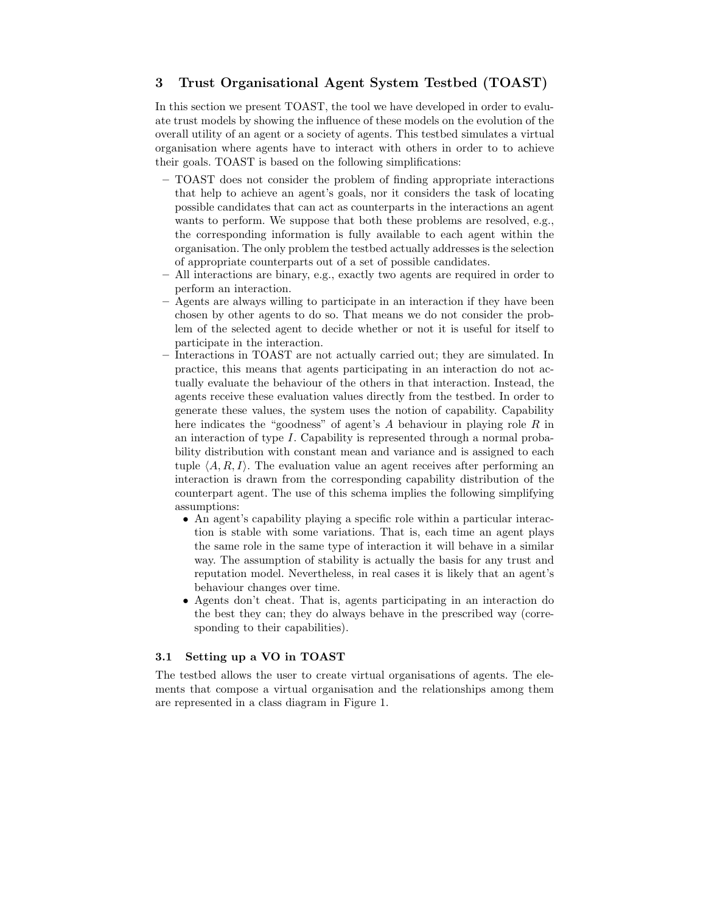### **3 Trust Organisational Agent System Testbed (TOAST)**

In this section we present TOAST, the tool we have developed in order to evaluate trust models by showing the influence of these models on the evolution of the overall utility of an agent or a society of agents. This testbed simulates a virtual organisation where agents have to interact with others in order to to achieve their goals. TOAST is based on the following simplifications:

- **–** TOAST does not consider the problem of finding appropriate interactions that help to achieve an agent's goals, nor it considers the task of locating possible candidates that can act as counterparts in the interactions an agent wants to perform. We suppose that both these problems are resolved, e.g., the corresponding information is fully available to each agent within the organisation. The only problem the testbed actually addresses is the selection of appropriate counterparts out of a set of possible candidates.
- **–** All interactions are binary, e.g., exactly two agents are required in order to perform an interaction.
- **–** Agents are always willing to participate in an interaction if they have been chosen by other agents to do so. That means we do not consider the problem of the selected agent to decide whether or not it is useful for itself to participate in the interaction.
- **–** Interactions in TOAST are not actually carried out; they are simulated. In practice, this means that agents participating in an interaction do not actually evaluate the behaviour of the others in that interaction. Instead, the agents receive these evaluation values directly from the testbed. In order to generate these values, the system uses the notion of capability. Capability here indicates the "goodness" of agent's  $A$  behaviour in playing role  $R$  in an interaction of type I. Capability is represented through a normal probability distribution with constant mean and variance and is assigned to each tuple  $\langle A, R, I \rangle$ . The evaluation value an agent receives after performing an interaction is drawn from the corresponding capability distribution of the counterpart agent. The use of this schema implies the following simplifying assumptions:
	- An agent's capability playing a specific role within a particular interaction is stable with some variations. That is, each time an agent plays the same role in the same type of interaction it will behave in a similar way. The assumption of stability is actually the basis for any trust and reputation model. Nevertheless, in real cases it is likely that an agent's behaviour changes over time.
	- Agents don't cheat. That is, agents participating in an interaction do the best they can; they do always behave in the prescribed way (corresponding to their capabilities).

#### **3.1 Setting up a VO in TOAST**

The testbed allows the user to create virtual organisations of agents. The elements that compose a virtual organisation and the relationships among them are represented in a class diagram in Figure 1.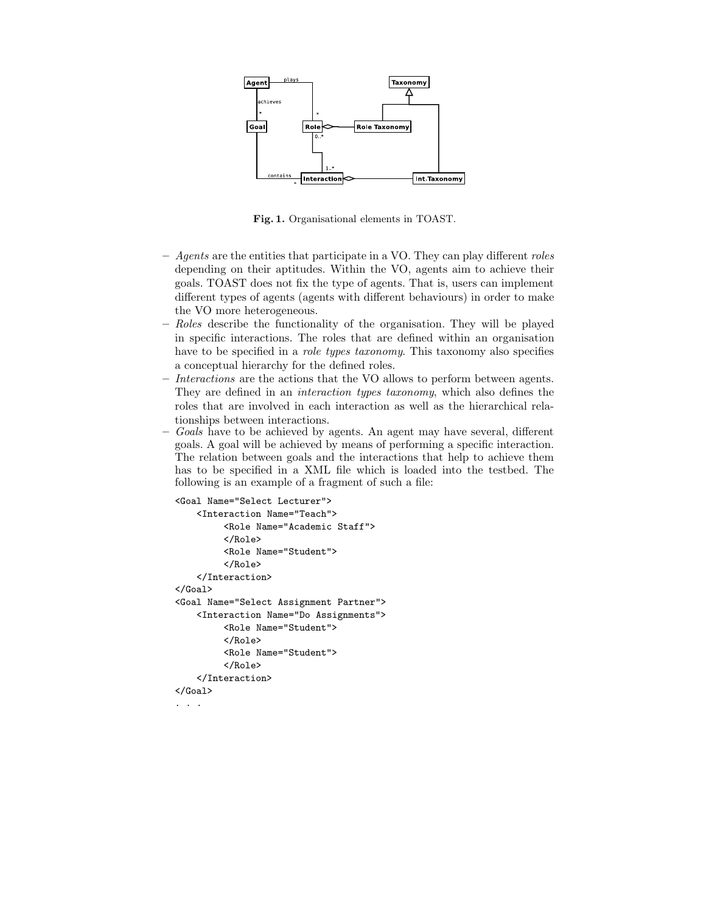

**Fig. 1.** Organisational elements in TOAST.

- **–** *Agents* are the entities that participate in a VO. They can play different *roles* depending on their aptitudes. Within the VO, agents aim to achieve their goals. TOAST does not fix the type of agents. That is, users can implement different types of agents (agents with different behaviours) in order to make the VO more heterogeneous.
- **–** *Roles* describe the functionality of the organisation. They will be played in specific interactions. The roles that are defined within an organisation have to be specified in a *role types taxonomy*. This taxonomy also specifies a conceptual hierarchy for the defined roles.
- **–** *Interactions* are the actions that the VO allows to perform between agents. They are defined in an *interaction types taxonomy*, which also defines the roles that are involved in each interaction as well as the hierarchical relationships between interactions.
- Goals have to be achieved by agents. An agent may have several, different goals. A goal will be achieved by means of performing a specific interaction. The relation between goals and the interactions that help to achieve them has to be specified in a XML file which is loaded into the testbed. The following is an example of a fragment of such a file:

```
<Goal Name="Select Lecturer">
    <Interaction Name="Teach">
         <Role Name="Academic Staff">
         </Role>
         <Role Name="Student">
         </Role>
    </Interaction>
</Goal>
<Goal Name="Select Assignment Partner">
    <Interaction Name="Do Assignments">
         <Role Name="Student">
         </Role>
         <Role Name="Student">
         </Role>
    </Interaction>
</Goal>
...
```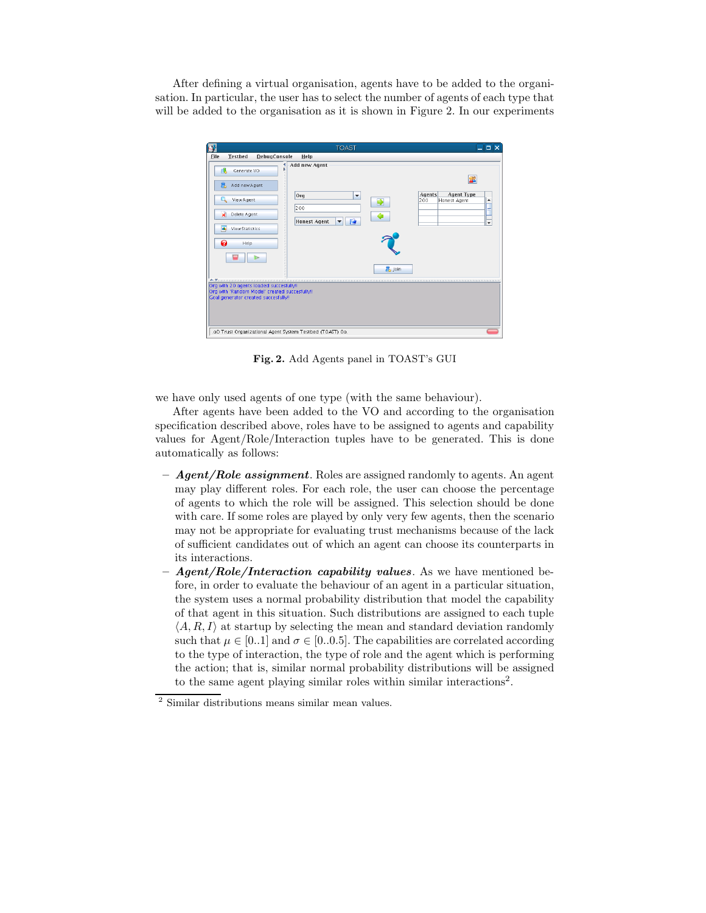After defining a virtual organisation, agents have to be added to the organisation. In particular, the user has to select the number of agents of each type that will be added to the organisation as it is shown in Figure 2. In our experiments

|                                                                                                                                                                                                                                   | <b>TOAST</b>                                                                                                  | $\Box$ o $\times$                                            |  |  |
|-----------------------------------------------------------------------------------------------------------------------------------------------------------------------------------------------------------------------------------|---------------------------------------------------------------------------------------------------------------|--------------------------------------------------------------|--|--|
| File<br>Testbed<br>DebugConsole<br>Generate VO<br>偶<br>я.<br>Add new Agent<br><b>View Agent</b><br>Delete Agent<br>×<br><b>View Statistics</b><br>т<br>2<br>Help                                                                  | Help<br>Add new Agent<br>Org<br>▼<br>200<br>廥<br><b>Honest Agent</b><br>$\blacktriangledown$<br><b>B</b> Join | 2<br><b>Agent Type</b><br>Agents<br>200<br>Honest Agent<br>٠ |  |  |
| A Processes and construction of<br>Org with 20 agents loaded succesfully !!<br>Org with 'Random Model' created succesfully!<br>Goal generator created succesfully !!<br>.oO Trust Organizational Agent System Testbed (TOAST) Oo. |                                                                                                               |                                                              |  |  |

**Fig. 2.** Add Agents panel in TOAST's GUI

we have only used agents of one type (with the same behaviour).

After agents have been added to the VO and according to the organisation specification described above, roles have to be assigned to agents and capability values for Agent/Role/Interaction tuples have to be generated. This is done automatically as follows:

- **–** *Agent/Role assignment*. Roles are assigned randomly to agents. An agent may play different roles. For each role, the user can choose the percentage of agents to which the role will be assigned. This selection should be done with care. If some roles are played by only very few agents, then the scenario may not be appropriate for evaluating trust mechanisms because of the lack of sufficient candidates out of which an agent can choose its counterparts in its interactions.
- **–** *Agent/Role/Interaction capability values*. As we have mentioned before, in order to evaluate the behaviour of an agent in a particular situation, the system uses a normal probability distribution that model the capability of that agent in this situation. Such distributions are assigned to each tuple  $\langle A, R, I \rangle$  at startup by selecting the mean and standard deviation randomly such that  $\mu \in [0..1]$  and  $\sigma \in [0..0.5]$ . The capabilities are correlated according to the type of interaction, the type of role and the agent which is performing the action; that is, similar normal probability distributions will be assigned to the same agent playing similar roles within similar interactions<sup>2</sup>.

 $^2$  Similar distributions means similar mean values.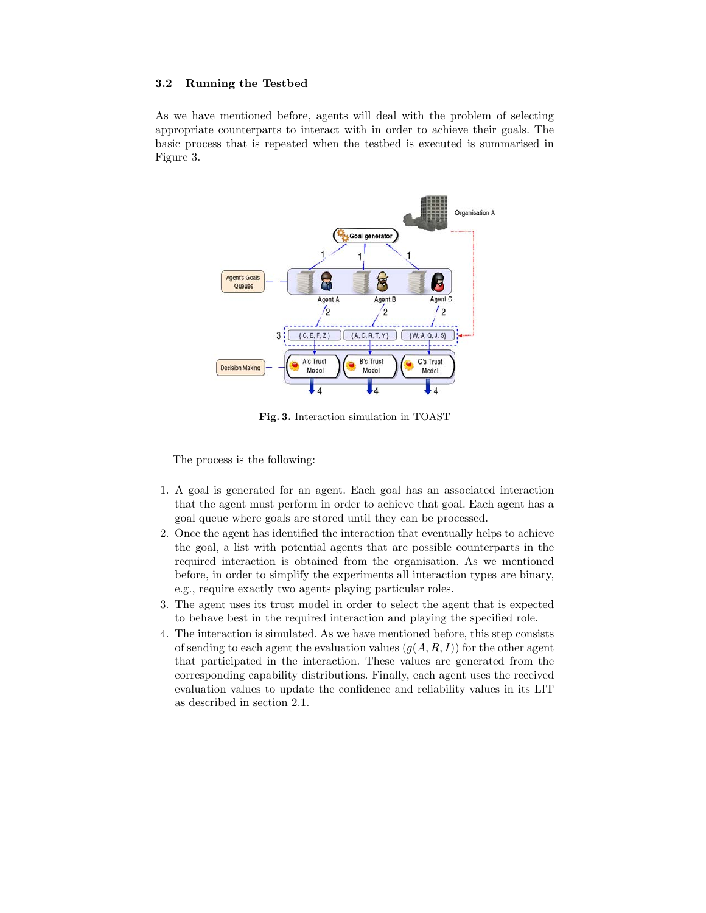### **3.2 Running the Testbed**

As we have mentioned before, agents will deal with the problem of selecting appropriate counterparts to interact with in order to achieve their goals. The basic process that is repeated when the testbed is executed is summarised in Figure 3.



**Fig. 3.** Interaction simulation in TOAST

The process is the following:

- 1. A goal is generated for an agent. Each goal has an associated interaction that the agent must perform in order to achieve that goal. Each agent has a goal queue where goals are stored until they can be processed.
- 2. Once the agent has identified the interaction that eventually helps to achieve the goal, a list with potential agents that are possible counterparts in the required interaction is obtained from the organisation. As we mentioned before, in order to simplify the experiments all interaction types are binary, e.g., require exactly two agents playing particular roles.
- 3. The agent uses its trust model in order to select the agent that is expected to behave best in the required interaction and playing the specified role.
- 4. The interaction is simulated. As we have mentioned before, this step consists of sending to each agent the evaluation values  $(q(A, R, I))$  for the other agent that participated in the interaction. These values are generated from the corresponding capability distributions. Finally, each agent uses the received evaluation values to update the confidence and reliability values in its LIT as described in section 2.1.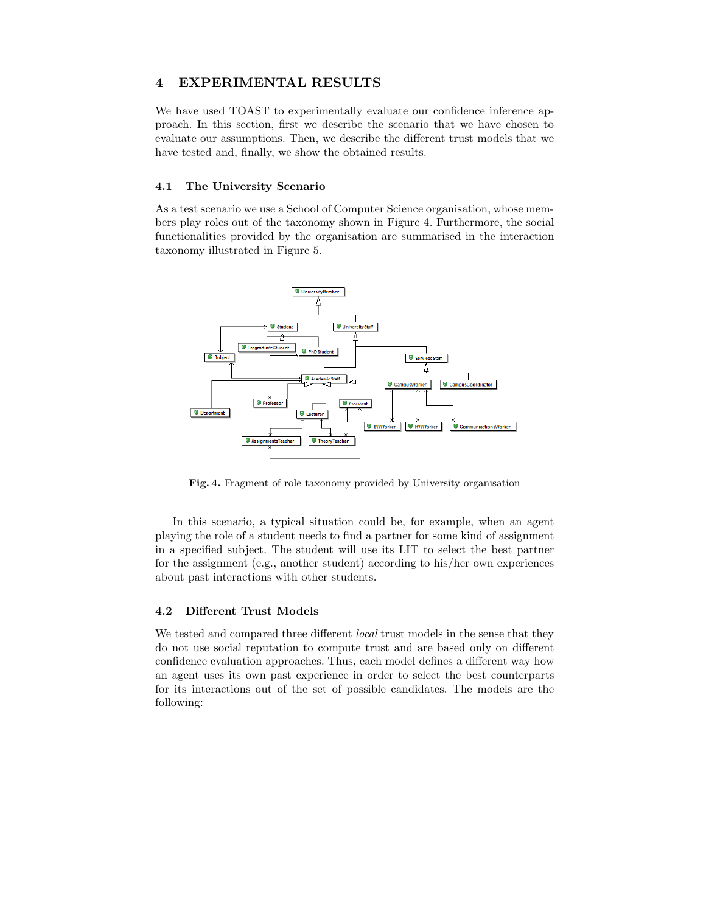### **4 EXPERIMENTAL RESULTS**

We have used TOAST to experimentally evaluate our confidence inference approach. In this section, first we describe the scenario that we have chosen to evaluate our assumptions. Then, we describe the different trust models that we have tested and, finally, we show the obtained results.

### **4.1 The University Scenario**

As a test scenario we use a School of Computer Science organisation, whose members play roles out of the taxonomy shown in Figure 4. Furthermore, the social functionalities provided by the organisation are summarised in the interaction taxonomy illustrated in Figure 5.



**Fig. 4.** Fragment of role taxonomy provided by University organisation

In this scenario, a typical situation could be, for example, when an agent playing the role of a student needs to find a partner for some kind of assignment in a specified subject. The student will use its LIT to select the best partner for the assignment (e.g., another student) according to his/her own experiences about past interactions with other students.

#### **4.2 Different Trust Models**

We tested and compared three different *local* trust models in the sense that they do not use social reputation to compute trust and are based only on different confidence evaluation approaches. Thus, each model defines a different way how an agent uses its own past experience in order to select the best counterparts for its interactions out of the set of possible candidates. The models are the following: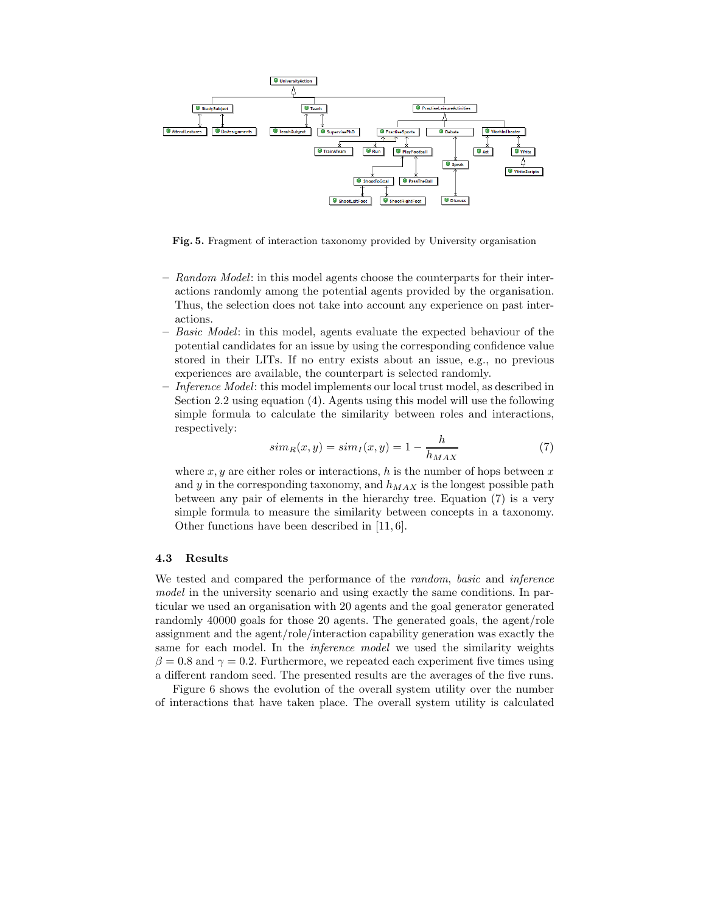

**Fig. 5.** Fragment of interaction taxonomy provided by University organisation

- **–** *Random Model*: in this model agents choose the counterparts for their interactions randomly among the potential agents provided by the organisation. Thus, the selection does not take into account any experience on past interactions.
- **–** *Basic Model*: in this model, agents evaluate the expected behaviour of the potential candidates for an issue by using the corresponding confidence value stored in their LITs. If no entry exists about an issue, e.g., no previous experiences are available, the counterpart is selected randomly.
- **–** *Inference Model*: this model implements our local trust model, as described in Section 2.2 using equation (4). Agents using this model will use the following simple formula to calculate the similarity between roles and interactions, respectively:

$$
simR(x, y) = simI(x, y) = 1 - \frac{h}{hMAX}
$$
\n(7)

where  $x, y$  are either roles or interactions, h is the number of hops between  $x$ <br>and  $y$  in the corresponding taxonomy and here is the longest possible path and  $y$  in the corresponding taxonomy, and  $h_{MAX}$  is the longest possible path between any pair of elements in the hierarchy tree. Equation (7) is a very simple formula to measure the similarity between concepts in a taxonomy. Other functions have been described in [11, 6].

#### **4.3 Results**

We tested and compared the performance of the *random*, *basic* and *inference model* in the university scenario and using exactly the same conditions. In particular we used an organisation with 20 agents and the goal generator generated randomly 40000 goals for those 20 agents. The generated goals, the agent/role assignment and the agent/role/interaction capability generation was exactly the same for each model. In the *inference model* we used the similarity weights  $\beta = 0.8$  and  $\gamma = 0.2$ . Furthermore, we repeated each experiment five times using a different random seed. The presented results are the averages of the five runs.

Figure 6 shows the evolution of the overall system utility over the number of interactions that have taken place. The overall system utility is calculated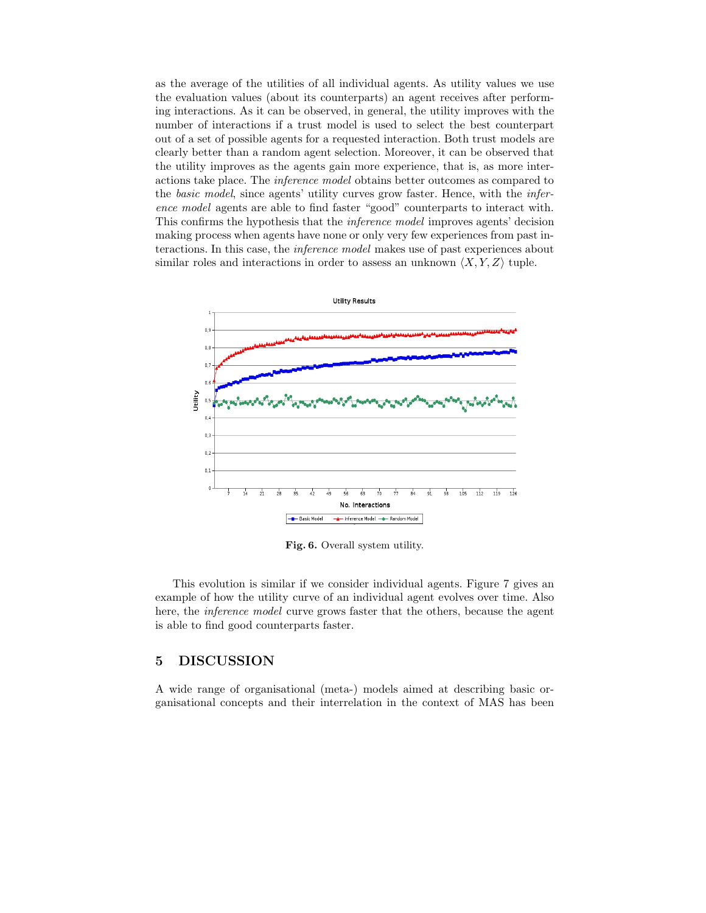as the average of the utilities of all individual agents. As utility values we use the evaluation values (about its counterparts) an agent receives after performing interactions. As it can be observed, in general, the utility improves with the number of interactions if a trust model is used to select the best counterpart out of a set of possible agents for a requested interaction. Both trust models are clearly better than a random agent selection. Moreover, it can be observed that the utility improves as the agents gain more experience, that is, as more interactions take place. The *inference model* obtains better outcomes as compared to the *basic model*, since agents' utility curves grow faster. Hence, with the *inference model* agents are able to find faster "good" counterparts to interact with. This confirms the hypothesis that the *inference model* improves agents' decision making process when agents have none or only very few experiences from past interactions. In this case, the *inference model* makes use of past experiences about similar roles and interactions in order to assess an unknown  $\langle X, Y, Z \rangle$  tuple.



**Fig. 6.** Overall system utility.

This evolution is similar if we consider individual agents. Figure 7 gives an example of how the utility curve of an individual agent evolves over time. Also here, the *inference model* curve grows faster that the others, because the agent is able to find good counterparts faster.

### **5 DISCUSSION**

A wide range of organisational (meta-) models aimed at describing basic organisational concepts and their interrelation in the context of MAS has been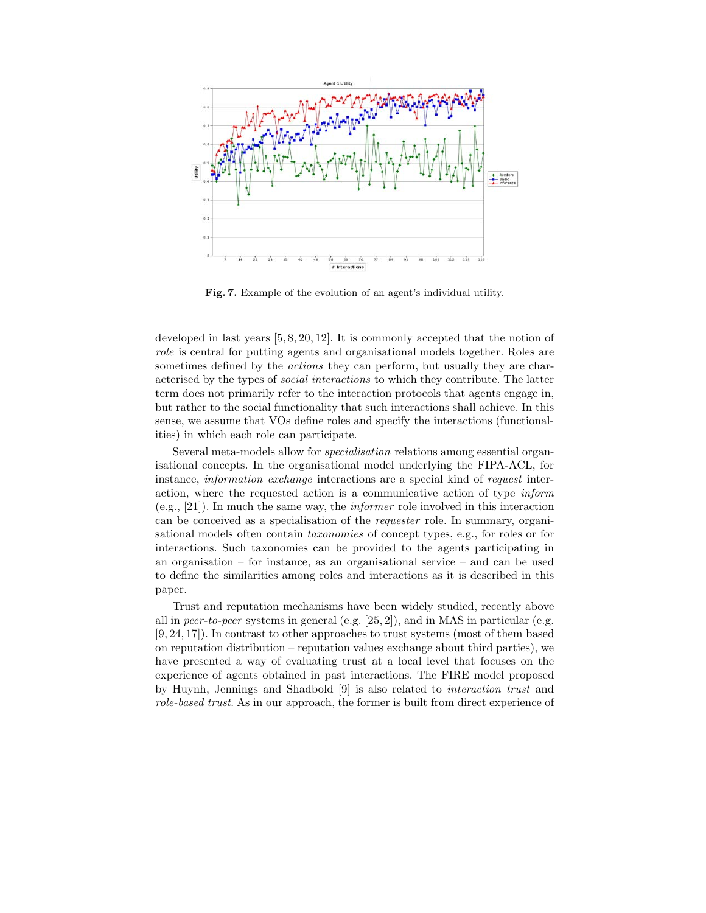

**Fig. 7.** Example of the evolution of an agent's individual utility.

developed in last years [5, 8, 20, 12]. It is commonly accepted that the notion of *role* is central for putting agents and organisational models together. Roles are sometimes defined by the *actions* they can perform, but usually they are characterised by the types of *social interactions* to which they contribute. The latter term does not primarily refer to the interaction protocols that agents engage in, but rather to the social functionality that such interactions shall achieve. In this sense, we assume that VOs define roles and specify the interactions (functionalities) in which each role can participate.

Several meta-models allow for *specialisation* relations among essential organisational concepts. In the organisational model underlying the FIPA-ACL, for instance, *information exchange* interactions are a special kind of *request* interaction, where the requested action is a communicative action of type *inform* (e.g., [21]). In much the same way, the *informer* role involved in this interaction can be conceived as a specialisation of the *requester* role. In summary, organisational models often contain *taxonomies* of concept types, e.g., for roles or for interactions. Such taxonomies can be provided to the agents participating in an organisation – for instance, as an organisational service – and can be used to define the similarities among roles and interactions as it is described in this paper.

Trust and reputation mechanisms have been widely studied, recently above all in *peer-to-peer* systems in general (e.g. [25, 2]), and in MAS in particular (e.g. [9, 24, 17]). In contrast to other approaches to trust systems (most of them based on reputation distribution – reputation values exchange about third parties), we have presented a way of evaluating trust at a local level that focuses on the experience of agents obtained in past interactions. The FIRE model proposed by Huynh, Jennings and Shadbold [9] is also related to *interaction trust* and *role-based trust*. As in our approach, the former is built from direct experience of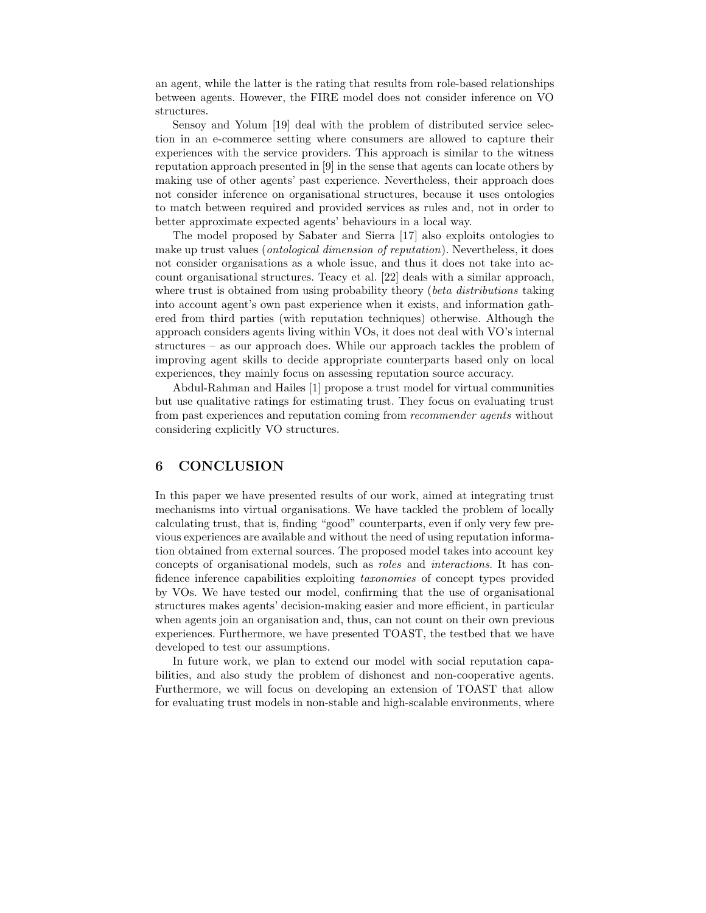an agent, while the latter is the rating that results from role-based relationships between agents. However, the FIRE model does not consider inference on VO structures.

Sensoy and Yolum [19] deal with the problem of distributed service selection in an e-commerce setting where consumers are allowed to capture their experiences with the service providers. This approach is similar to the witness reputation approach presented in [9] in the sense that agents can locate others by making use of other agents' past experience. Nevertheless, their approach does not consider inference on organisational structures, because it uses ontologies to match between required and provided services as rules and, not in order to better approximate expected agents' behaviours in a local way.

The model proposed by Sabater and Sierra [17] also exploits ontologies to make up trust values (*ontological dimension of reputation*). Nevertheless, it does not consider organisations as a whole issue, and thus it does not take into account organisational structures. Teacy et al. [22] deals with a similar approach, where trust is obtained from using probability theory (*beta distributions* taking into account agent's own past experience when it exists, and information gathered from third parties (with reputation techniques) otherwise. Although the approach considers agents living within VOs, it does not deal with VO's internal structures – as our approach does. While our approach tackles the problem of improving agent skills to decide appropriate counterparts based only on local experiences, they mainly focus on assessing reputation source accuracy.

Abdul-Rahman and Hailes [1] propose a trust model for virtual communities but use qualitative ratings for estimating trust. They focus on evaluating trust from past experiences and reputation coming from *recommender agents* without considering explicitly VO structures.

### **6 CONCLUSION**

In this paper we have presented results of our work, aimed at integrating trust mechanisms into virtual organisations. We have tackled the problem of locally calculating trust, that is, finding "good" counterparts, even if only very few previous experiences are available and without the need of using reputation information obtained from external sources. The proposed model takes into account key concepts of organisational models, such as *roles* and *interactions*. It has confidence inference capabilities exploiting *taxonomies* of concept types provided by VOs. We have tested our model, confirming that the use of organisational structures makes agents' decision-making easier and more efficient, in particular when agents join an organisation and, thus, can not count on their own previous experiences. Furthermore, we have presented TOAST, the testbed that we have developed to test our assumptions.

In future work, we plan to extend our model with social reputation capabilities, and also study the problem of dishonest and non-cooperative agents. Furthermore, we will focus on developing an extension of TOAST that allow for evaluating trust models in non-stable and high-scalable environments, where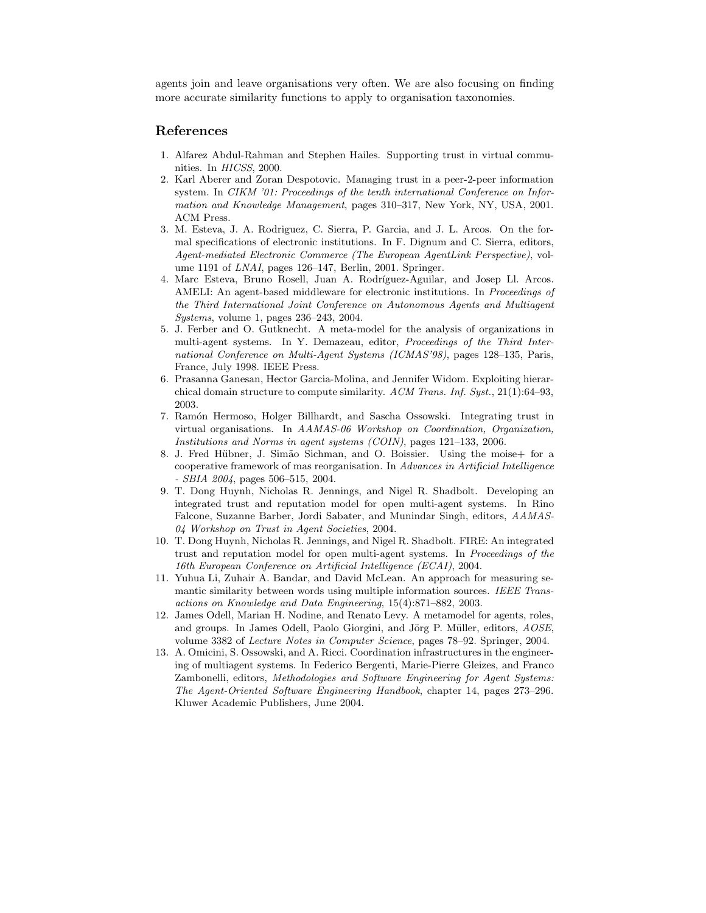agents join and leave organisations very often. We are also focusing on finding more accurate similarity functions to apply to organisation taxonomies.

### **References**

- 1. Alfarez Abdul-Rahman and Stephen Hailes. Supporting trust in virtual communities. In *HICSS*, 2000.
- 2. Karl Aberer and Zoran Despotovic. Managing trust in a peer-2-peer information system. In *CIKM '01: Proceedings of the tenth international Conference on Information and Knowledge Management*, pages 310–317, New York, NY, USA, 2001. ACM Press.
- 3. M. Esteva, J. A. Rodriguez, C. Sierra, P. Garcia, and J. L. Arcos. On the formal specifications of electronic institutions. In F. Dignum and C. Sierra, editors, *Agent-mediated Electronic Commerce (The European AgentLink Perspective)*, volume 1191 of *LNAI*, pages 126–147, Berlin, 2001. Springer.
- 4. Marc Esteva, Bruno Rosell, Juan A. Rodríguez-Aguilar, and Josep Ll. Arcos. AMELI: An agent-based middleware for electronic institutions. In *Proceedings of the Third International Joint Conference on Autonomous Agents and Multiagent Systems*, volume 1, pages 236–243, 2004.
- 5. J. Ferber and O. Gutknecht. A meta-model for the analysis of organizations in multi-agent systems. In Y. Demazeau, editor, *Proceedings of the Third International Conference on Multi-Agent Systems (ICMAS'98)*, pages 128–135, Paris, France, July 1998. IEEE Press.
- 6. Prasanna Ganesan, Hector Garcia-Molina, and Jennifer Widom. Exploiting hierarchical domain structure to compute similarity. *ACM Trans. Inf. Syst.*, 21(1):64–93, 2003.
- 7. Ram´on Hermoso, Holger Billhardt, and Sascha Ossowski. Integrating trust in virtual organisations. In *AAMAS-06 Workshop on Coordination, Organization, Institutions and Norms in agent systems (COIN)*, pages 121–133, 2006.
- 8. J. Fred Hübner, J. Simão Sichman, and O. Boissier. Using the moise for a cooperative framework of mas reorganisation. In *Advances in Artificial Intelligence - SBIA 2004*, pages 506–515, 2004.
- 9. T. Dong Huynh, Nicholas R. Jennings, and Nigel R. Shadbolt. Developing an integrated trust and reputation model for open multi-agent systems. In Rino Falcone, Suzanne Barber, Jordi Sabater, and Munindar Singh, editors, *AAMAS-04 Workshop on Trust in Agent Societies*, 2004.
- 10. T. Dong Huynh, Nicholas R. Jennings, and Nigel R. Shadbolt. FIRE: An integrated trust and reputation model for open multi-agent systems. In *Proceedings of the 16th European Conference on Artificial Intelligence (ECAI)*, 2004.
- 11. Yuhua Li, Zuhair A. Bandar, and David McLean. An approach for measuring semantic similarity between words using multiple information sources. *IEEE Transactions on Knowledge and Data Engineering*, 15(4):871–882, 2003.
- 12. James Odell, Marian H. Nodine, and Renato Levy. A metamodel for agents, roles, and groups. In James Odell, Paolo Giorgini, and Jörg P. Müller, editors,  $AOSE$ , volume 3382 of *Lecture Notes in Computer Science*, pages 78–92. Springer, 2004.
- 13. A. Omicini, S. Ossowski, and A. Ricci. Coordination infrastructures in the engineering of multiagent systems. In Federico Bergenti, Marie-Pierre Gleizes, and Franco Zambonelli, editors, *Methodologies and Software Engineering for Agent Systems: The Agent-Oriented Software Engineering Handbook*, chapter 14, pages 273–296. Kluwer Academic Publishers, June 2004.